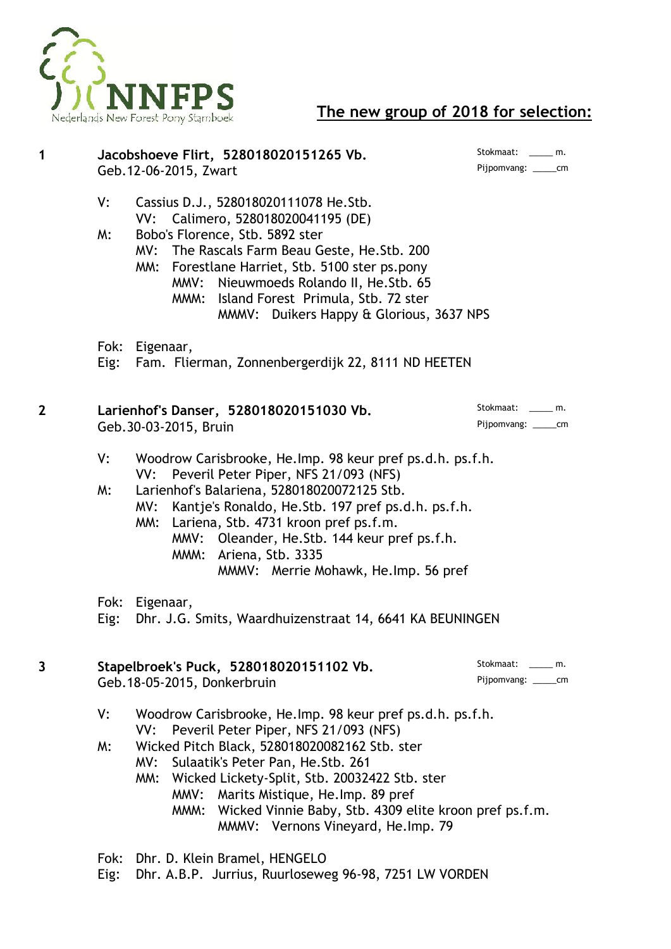

# **The new group of 2018 for selection:**

| 1                       |          | Geb. 12-06-2015, Zwart      | Jacobshoeve Flirt, 528018020151265 Vb.                                                                                                                                                                                                                                                                                                                                                           | Stokmaat: m.<br>Pijpomvang: ______cm        |
|-------------------------|----------|-----------------------------|--------------------------------------------------------------------------------------------------------------------------------------------------------------------------------------------------------------------------------------------------------------------------------------------------------------------------------------------------------------------------------------------------|---------------------------------------------|
|                         | V:<br>W: |                             | Cassius D.J., 528018020111078 He.Stb.<br>VV: Calimero, 528018020041195 (DE)<br>Bobo's Florence, Stb. 5892 ster<br>MV: The Rascals Farm Beau Geste, He. Stb. 200<br>MM: Forestlane Harriet, Stb. 5100 ster ps.pony<br>MMV: Nieuwmoeds Rolando II, He. Stb. 65<br>MMM: Island Forest Primula, Stb. 72 ster<br>MMMV: Duikers Happy & Glorious, 3637 NPS                                             |                                             |
|                         | Eig:     | Fok: Eigenaar,              | Fam. Flierman, Zonnenbergerdijk 22, 8111 ND HEETEN                                                                                                                                                                                                                                                                                                                                               |                                             |
| $\overline{\mathbf{2}}$ |          | Geb. 30-03-2015, Bruin      | Larienhof's Danser, 528018020151030 Vb.                                                                                                                                                                                                                                                                                                                                                          | Stokmaat: m.<br>Pijpomvang: ______cm        |
|                         | V:<br>W: | VV:                         | Woodrow Carisbrooke, He.Imp. 98 keur pref ps.d.h. ps.f.h.<br>Peveril Peter Piper, NFS 21/093 (NFS)<br>Larienhof's Balariena, 528018020072125 Stb.<br>MV: Kantje's Ronaldo, He. Stb. 197 pref ps.d.h. ps.f.h.<br>MM: Lariena, Stb. 4731 kroon pref ps.f.m.<br>MMV: Oleander, He.Stb. 144 keur pref ps.f.h.<br>MMM: Ariena, Stb. 3335<br>MMMV: Merrie Mohawk, He.Imp. 56 pref                      |                                             |
|                         | Eig:     | Fok: Eigenaar,              | Dhr. J.G. Smits, Waardhuizenstraat 14, 6641 KA BEUNINGEN                                                                                                                                                                                                                                                                                                                                         |                                             |
| 3                       |          | Geb.18-05-2015, Donkerbruin | Stapelbroek's Puck, 528018020151102 Vb.                                                                                                                                                                                                                                                                                                                                                          | Stokmaat: ______ m.<br>Pijpomvang: ______cm |
|                         | V:<br>W: | VV:                         | Woodrow Carisbrooke, He.Imp. 98 keur pref ps.d.h. ps.f.h.<br>Peveril Peter Piper, NFS 21/093 (NFS)<br>Wicked Pitch Black, 528018020082162 Stb. ster<br>MV: Sulaatik's Peter Pan, He. Stb. 261<br>MM: Wicked Lickety-Split, Stb. 20032422 Stb. ster<br>MMV: Marits Mistique, He.Imp. 89 pref<br>MMM: Wicked Vinnie Baby, Stb. 4309 elite kroon pref ps.f.m.<br>MMMV: Vernons Vineyard, He.Imp. 79 |                                             |

Fok: Dhr. D. Klein Bramel, HENGELO

Eig: Dhr. A.B.P. Jurrius, Ruurloseweg 96-98, 7251 LW VORDEN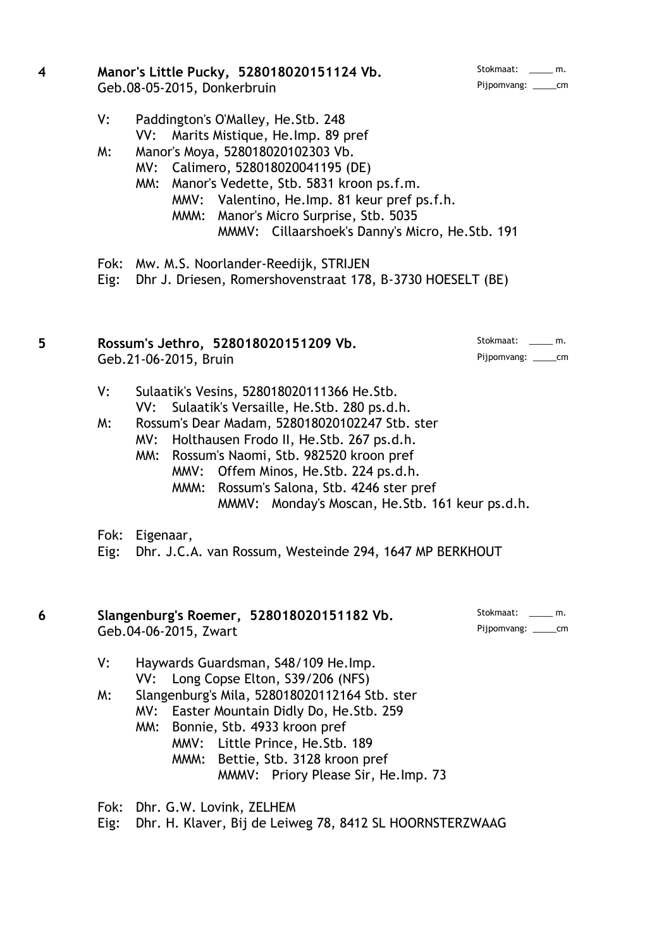| Stokmaat:   | m. |  |
|-------------|----|--|
| Pijpomvang: | cm |  |

### **4 Manor's Little Pucky, 528018020151124 Vb.** Geb.08-05-2015, Donkerbruin

- V: Paddington's O'Malley, He.Stb. 248 VV: Marits Mistique, He.Imp. 89 pref
- M: Manor's Moya, 528018020102303 Vb.
	- MV: Calimero, 528018020041195 (DE)
		- MM: Manor's Vedette, Stb. 5831 kroon ps.f.m. MMV: Valentino, He.Imp. 81 keur pref ps.f.h. MMM: Manor's Micro Surprise, Stb. 5035 MMMV: Cillaarshoek's Danny's Micro, He.Stb. 191
- Fok: Mw. M.S. Noorlander-Reedijk, STRIJEN

Eig: Dhr J. Driesen, Romershovenstraat 178, B-3730 HOESELT (BE)

#### **5 Rossum's Jethro, 528018020151209 Vb.** Stokmaat: \_\_\_\_ m. Geb.21-06-2015, Bruin Pijpomvang: \_\_\_\_\_cm

- V: Sulaatik's Vesins, 528018020111366 He.Stb. VV: Sulaatik's Versaille, He.Stb. 280 ps.d.h.
- M: Rossum's Dear Madam, 528018020102247 Stb. ster
	- MV: Holthausen Frodo II, He.Stb. 267 ps.d.h.
	- MM: Rossum's Naomi, Stb. 982520 kroon pref MMV: Offem Minos, He.Stb. 224 ps.d.h. MMM: Rossum's Salona, Stb. 4246 ster pref MMMV: Monday's Moscan, He.Stb. 161 keur ps.d.h.
- Fok: Eigenaar,

Eig: Dhr. J.C.A. van Rossum, Westeinde 294, 1647 MP BERKHOUT

#### **6 Slangenburg's Roemer, 528018020151182 Vb.** Stokmaat: \_\_\_\_ m. Geb.04-06-2015, Zwart Pijpomvang: \_\_\_\_\_cm

- V: Haywards Guardsman, S48/109 He.Imp. VV: Long Copse Elton, S39/206 (NFS)
- M: Slangenburg's Mila, 528018020112164 Stb. ster
	- MV: Easter Mountain Didly Do, He.Stb. 259
	- MM: Bonnie, Stb. 4933 kroon pref
		- MMV: Little Prince, He.Stb. 189 MMM: Bettie, Stb. 3128 kroon pref MMMV: Priory Please Sir, He.Imp. 73

Fok: Dhr. G.W. Lovink, ZELHEM

Eig: Dhr. H. Klaver, Bij de Leiweg 78, 8412 SL HOORNSTERZWAAG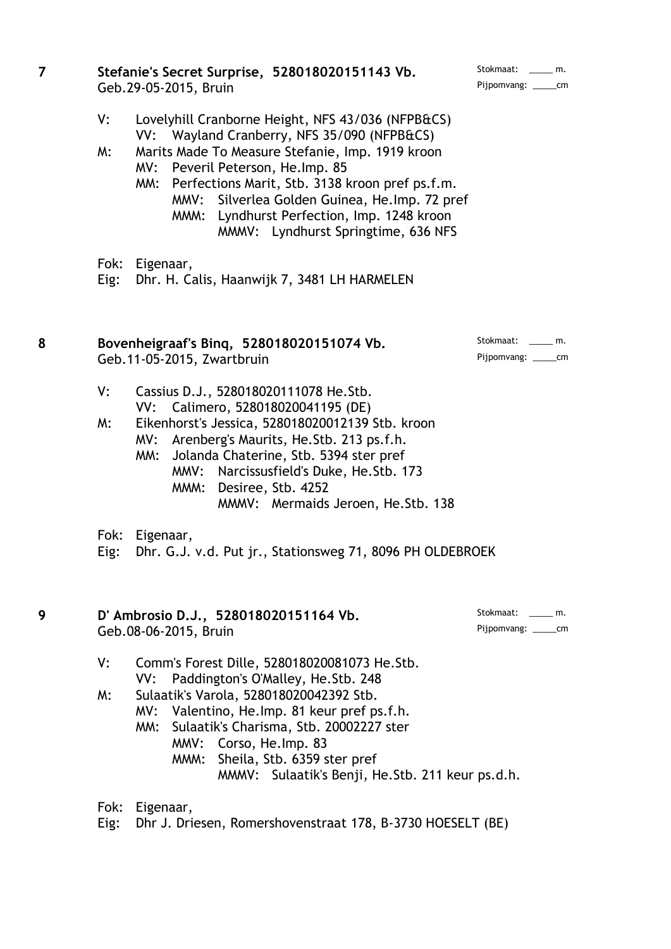| 7 |              | Stefanie's Secret Surprise, 528018020151143 Vb.<br>Geb.29-05-2015, Bruin                                                                                                                                                                                                                                                                                                              | Stokmaat: ______ m.<br>Pijpomvang: ______cm   |
|---|--------------|---------------------------------------------------------------------------------------------------------------------------------------------------------------------------------------------------------------------------------------------------------------------------------------------------------------------------------------------------------------------------------------|-----------------------------------------------|
|   | V:<br>W:     | Lovelyhill Cranborne Height, NFS 43/036 (NFPB&CS)<br>VV: Wayland Cranberry, NFS 35/090 (NFPB&CS)<br>Marits Made To Measure Stefanie, Imp. 1919 kroon<br>MV: Peveril Peterson, He.Imp. 85<br>MM: Perfections Marit, Stb. 3138 kroon pref ps.f.m.<br>MMV: Silverlea Golden Guinea, He.Imp. 72 pref<br>MMM: Lyndhurst Perfection, Imp. 1248 kroon<br>MMMV: Lyndhurst Springtime, 636 NFS |                                               |
|   | Fok:<br>Eig: | Eigenaar,<br>Dhr. H. Calis, Haanwijk 7, 3481 LH HARMELEN                                                                                                                                                                                                                                                                                                                              |                                               |
| 8 |              | Bovenheigraaf's Bing, 528018020151074 Vb.<br>Geb.11-05-2015, Zwartbruin                                                                                                                                                                                                                                                                                                               | Stokmaat: m.<br>Pijpomvang: ______cm          |
|   | V:<br>W:     | Cassius D.J., 528018020111078 He.Stb.<br>Calimero, 528018020041195 (DE)<br>VV:<br>Eikenhorst's Jessica, 528018020012139 Stb. kroon<br>MV: Arenberg's Maurits, He.Stb. 213 ps.f.h.<br>Jolanda Chaterine, Stb. 5394 ster pref<br>MM:<br>MMV: Narcissusfield's Duke, He. Stb. 173<br>MMM: Desiree, Stb. 4252<br>MMMV: Mermaids Jeroen, He. Stb. 138                                      |                                               |
|   | Fok:<br>Eig: | Eigenaar,<br>Dhr. G.J. v.d. Put jr., Stationsweg 71, 8096 PH OLDEBROEK                                                                                                                                                                                                                                                                                                                |                                               |
| 9 |              | D' Ambrosio D.J., 528018020151164 Vb.<br>Geb.08-06-2015, Bruin                                                                                                                                                                                                                                                                                                                        | Stokmaat: ______ m.<br>Pijpomvang: _______ cm |
|   | V:<br>W:     | Comm's Forest Dille, 528018020081073 He. Stb.<br>Paddington's O'Malley, He. Stb. 248<br>VV:<br>Sulaatik's Varola, 528018020042392 Stb.<br>MV: Valentino, He. Imp. 81 keur pref ps.f.h.<br>MM: Sulaatik's Charisma, Stb. 20002227 ster<br>MMV: Corso, He. Imp. 83<br>MMM: Sheila, Stb. 6359 ster pref<br>MMMV: Sulaatik's Benji, He. Stb. 211 keur ps.d.h.                             |                                               |
|   | Eig:         | Fok: Eigenaar,<br>Dhr J. Driesen, Romershovenstraat 178, B-3730 HOESELT (BE)                                                                                                                                                                                                                                                                                                          |                                               |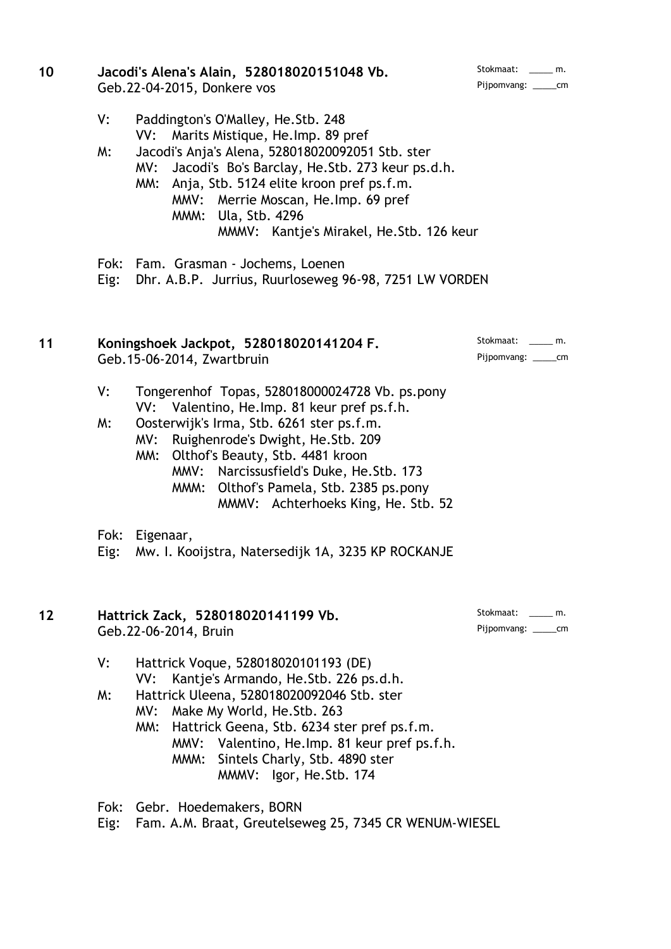| Stokmaat:   | m. |
|-------------|----|
| Pijpomvang: | cm |

#### 10 **Jacodi's Alena's Alain, 528018020151048 Vb.** Geb.22-04-2015, Donkere vos

- V: Paddington's O'Malley, He.Stb. 248 VV: Marits Mistique, He.Imp. 89 pref
- M: Jacodi's Anja's Alena, 528018020092051 Stb. ster MV: Jacodi's Bo's Barclay, He.Stb. 273 keur ps.d.h.
	- MM: Anja, Stb. 5124 elite kroon pref ps.f.m. MMV: Merrie Moscan, He.Imp. 69 pref MMM: Ula, Stb. 4296 MMMV: Kantje's Mirakel, He.Stb. 126 keur
- Fok: Fam. Grasman Jochems, Loenen

Eig: Dhr. A.B.P. Jurrius, Ruurloseweg 96-98, 7251 LW VORDEN

# 11 **Koningshoek Jackpot, 528018020141204 F.** Stokmaat: \_\_\_\_ m. Geb.15-06-2014, Zwartbruin et al. 2001 and 2011 and 2012 and 2013 and 2013 and 2014 and 2014 and 201

- V: Tongerenhof Topas, 528018000024728 Vb. ps.pony VV: Valentino, He.Imp. 81 keur pref ps.f.h.
- M: Oosterwijk's Irma, Stb. 6261 ster ps.f.m.
	- MV: Ruighenrode's Dwight, He.Stb. 209
	- MM: Olthof's Beauty, Stb. 4481 kroon MMV: Narcissusfield's Duke, He.Stb. 173 MMM: Olthof's Pamela, Stb. 2385 ps.pony
		- MMMV: Achterhoeks King, He. Stb. 52
- Fok: Eigenaar,

Eig: Mw. I. Kooijstra, Natersedijk 1A, 3235 KP ROCKANJE

# 12 **Hattrick Zack, 528018020141199 Vb.** Stokmaat: \_\_\_\_ m. Geb.22-06-2014, Bruin Pijpomvang: \_\_\_\_\_cm

- V: Hattrick Voque, 528018020101193 (DE) VV: Kantje's Armando, He.Stb. 226 ps.d.h.
- M: Hattrick Uleena, 528018020092046 Stb. ster MV: Make My World, He.Stb. 263
	- MM: Hattrick Geena, Stb. 6234 ster pref ps.f.m. MMV: Valentino, He.Imp. 81 keur pref ps.f.h. MMM: Sintels Charly, Stb. 4890 ster MMMV: Igor, He.Stb. 174

Fok: Gebr. Hoedemakers, BORN

Eig: Fam. A.M. Braat, Greutelseweg 25, 7345 CR WENUM-WIESEL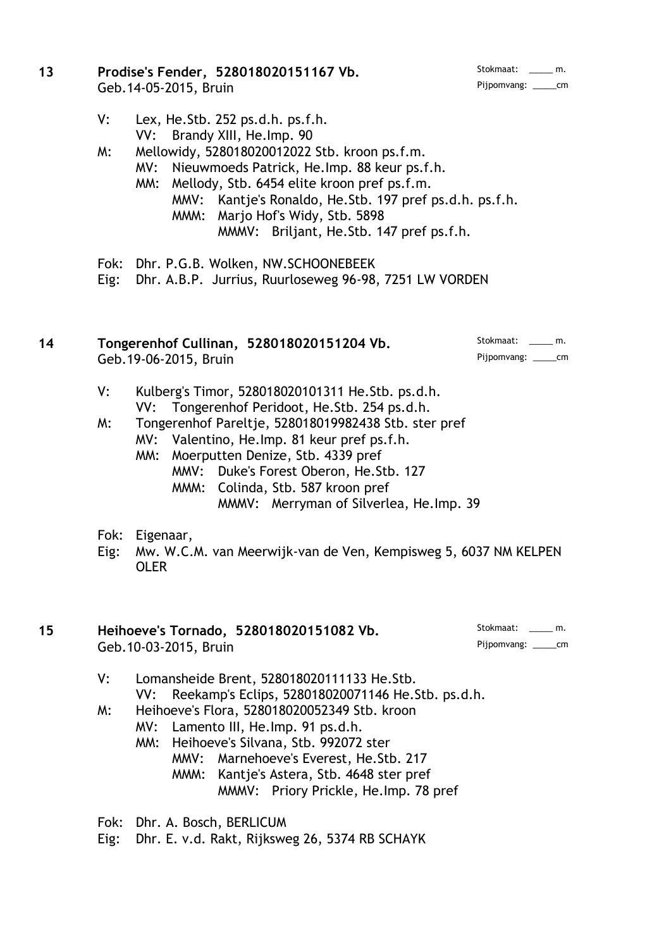#### 13 **Prodise's Fender, 528018020151167 Vb.** Stokmaat: \_\_\_\_ m. Geb.14-05-2015, Bruin Pijpomvang: \_\_\_\_\_cm

- V: Lex, He.Stb. 252 ps.d.h. ps.f.h. VV: Brandy XIII, He.Imp. 90
- M: Mellowidy, 528018020012022 Stb. kroon ps.f.m. MV: Nieuwmoeds Patrick, He.Imp. 88 keur ps.f.h.
	- MM: Mellody, Stb. 6454 elite kroon pref ps.f.m. MMV: Kantje's Ronaldo, He.Stb. 197 pref ps.d.h. ps.f.h. MMM: Marjo Hof's Widy, Stb. 5898 MMMV: Briljant, He.Stb. 147 pref ps.f.h.
- Fok: Dhr. P.G.B. Wolken, NW.SCHOONEBEEK

Eig: Dhr. A.B.P. Jurrius, Ruurloseweg 96-98, 7251 LW VORDEN

# 14 **Tongerenhof Cullinan, 528018020151204 Vb.** Stokmaat: \_\_\_\_ m. Geb.19-06-2015, Bruin Pijpomvang: \_\_\_\_\_cm

- V: Kulberg's Timor, 528018020101311 He.Stb. ps.d.h. VV: Tongerenhof Peridoot, He.Stb. 254 ps.d.h.
- M: Tongerenhof Pareltje, 528018019982438 Stb. ster pref
	- MV: Valentino, He.Imp. 81 keur pref ps.f.h.
	- MM: Moerputten Denize, Stb. 4339 pref
		- MMV: Duke's Forest Oberon, He.Stb. 127
			- MMM: Colinda, Stb. 587 kroon pref
				- MMMV: Merryman of Silverlea, He.Imp. 39
- Fok: Eigenaar,
- Eig: Mw. W.C.M. van Meerwijk-van de Ven, Kempisweg 5, 6037 NM KELPEN OLER

# 15 **Heihoeve's Tornado, 528018020151082 Vb.** Stokmaat: \_\_\_\_ m. Geb.10-03-2015, Bruin Pijpomvang: \_\_\_\_\_cm

- V: Lomansheide Brent, 528018020111133 He.Stb. VV: Reekamp's Eclips, 528018020071146 He.Stb. ps.d.h. M: Heihoeve's Flora, 528018020052349 Stb. kroon
	- MV: Lamento III, He.Imp. 91 ps.d.h.
		- MM: Heihoeve's Silvana, Stb. 992072 ster
			- MMV: Marnehoeve's Everest, He.Stb. 217
				- MMM: Kantje's Astera, Stb. 4648 ster pref
					- MMMV: Priory Prickle, He.Imp. 78 pref

Fok: Dhr. A. Bosch, BERLICUM

Eig: Dhr. E. v.d. Rakt, Rijksweg 26, 5374 RB SCHAYK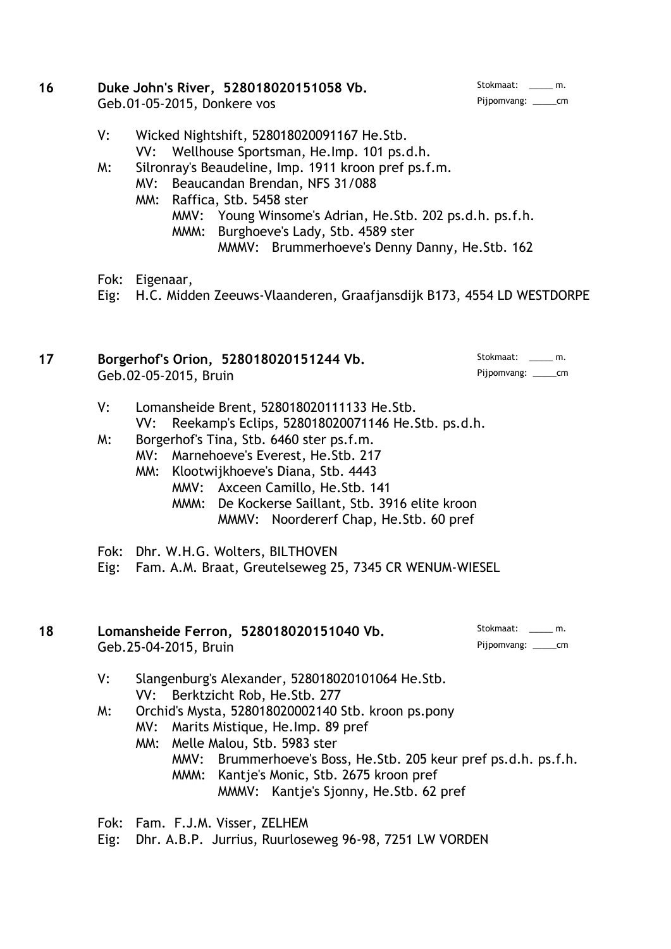#### **16 Duke John's River, 528018020151058 Vb.** Stokmaat: \_\_\_\_ m.<br>Geb 01-05-2015 Donkere vos Geb.01-05-2015, Donkere vos

- V: Wicked Nightshift, 528018020091167 He.Stb. VV: Wellhouse Sportsman, He.Imp. 101 ps.d.h.
- M: Silronray's Beaudeline, Imp. 1911 kroon pref ps.f.m.
	- MV: Beaucandan Brendan, NFS 31/088
	- MM: Raffica, Stb. 5458 ster
		- MMV: Young Winsome's Adrian, He.Stb. 202 ps.d.h. ps.f.h.
			- MMM: Burghoeve's Lady, Stb. 4589 ster
				- MMMV: Brummerhoeve's Denny Danny, He.Stb. 162
- Fok: Eigenaar,
- Eig: H.C. Midden Zeeuws-Vlaanderen, Graafjansdijk B173, 4554 LD WESTDORPE

# 17 **Borgerhof's Orion, 528018020151244 Vb.** Stokmaat: \_\_\_\_ m. Geb.02-05-2015, Bruin Pijpomvang: \_\_\_\_\_cm

- V: Lomansheide Brent, 528018020111133 He.Stb. VV: Reekamp's Eclips, 528018020071146 He.Stb. ps.d.h.
- M: Borgerhof's Tina, Stb. 6460 ster ps.f.m.
	- MV: Marnehoeve's Everest, He.Stb. 217
	- MM: Klootwijkhoeve's Diana, Stb. 4443
		- MMV: Axceen Camillo, He.Stb. 141
		- MMM: De Kockerse Saillant, Stb. 3916 elite kroon MMMV: Noordererf Chap, He.Stb. 60 pref
- Fok: Dhr. W.H.G. Wolters, BILTHOVEN
- Eig: Fam. A.M. Braat, Greutelseweg 25, 7345 CR WENUM-WIESEL

| 18 | Lomansheide Ferron, 528018020151040 Vb. | Stokmaat: ______ m.  |
|----|-----------------------------------------|----------------------|
|    | Geb. 25-04-2015, Bruin                  | Pijpomvang: ______cm |
|    | C <sub>1</sub>                          |                      |

- V: Slangenburg's Alexander, 528018020101064 He.Stb. VV: Berktzicht Rob, He.Stb. 277
- M: Orchid's Mysta, 528018020002140 Stb. kroon ps.pony
	- MV: Marits Mistique, He.Imp. 89 pref
		- MM: Melle Malou, Stb. 5983 ster
			- MMV: Brummerhoeve's Boss, He.Stb. 205 keur pref ps.d.h. ps.f.h.
			- MMM: Kantje's Monic, Stb. 2675 kroon pref MMMV: Kantje's Sjonny, He.Stb. 62 pref

Fok: Fam. F.J.M. Visser, ZELHEM

Eig: Dhr. A.B.P. Jurrius, Ruurloseweg 96-98, 7251 LW VORDEN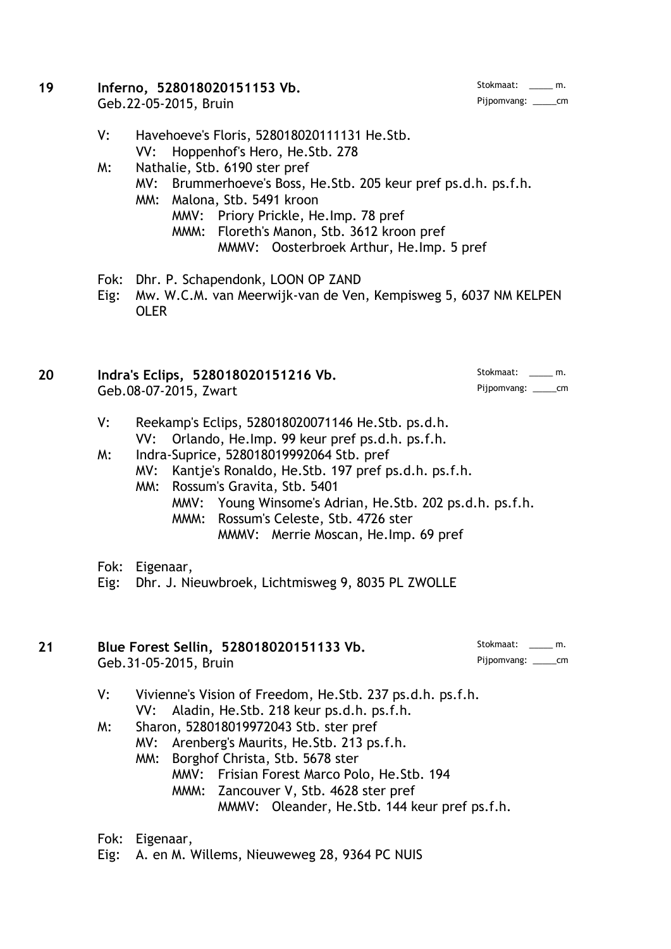#### **19 Inferno, 528018020151153 Vb.** Stokmaat: \_\_\_\_ m. Stokmaat: \_\_\_\_ m. Stokmaat: \_\_\_\_ m. Stokmaat: \_\_\_\_ m. Geb.22-05-2015, Bruin

- V: Havehoeve's Floris, 528018020111131 He.Stb. VV: Hoppenhof's Hero, He.Stb. 278
- M: Nathalie, Stb. 6190 ster pref
	- MV: Brummerhoeve's Boss, He.Stb. 205 keur pref ps.d.h. ps.f.h.
	- MM: Malona, Stb. 5491 kroon
		- MMV: Priory Prickle, He.Imp. 78 pref
			- MMM: Floreth's Manon, Stb. 3612 kroon pref
				- MMMV: Oosterbroek Arthur, He.Imp. 5 pref
- Fok: Dhr. P. Schapendonk, LOON OP ZAND
- Eig: Mw. W.C.M. van Meerwijk-van de Ven, Kempisweg 5, 6037 NM KELPEN OLER

| 20 | Indra's Eclips, 528018020151216 Vb. | Stokmaat: m.         |
|----|-------------------------------------|----------------------|
|    | Geb.08-07-2015, Zwart               | Pijpomvang: ______cm |

- V: Reekamp's Eclips, 528018020071146 He.Stb. ps.d.h. VV: Orlando, He.Imp. 99 keur pref ps.d.h. ps.f.h.
- M: Indra-Suprice, 528018019992064 Stb. pref
	- MV: Kantje's Ronaldo, He.Stb. 197 pref ps.d.h. ps.f.h.
	- MM: Rossum's Gravita, Stb. 5401
		- MMV: Young Winsome's Adrian, He.Stb. 202 ps.d.h. ps.f.h. MMM: Rossum's Celeste, Stb. 4726 ster
			- MMMV: Merrie Moscan, He.Imp. 69 pref
- Fok: Eigenaar,
- Eig: Dhr. J. Nieuwbroek, Lichtmisweg 9, 8035 PL ZWOLLE

#### **21 Blue Forest Sellin, 528018020151133 Vb.** Stokmaat: \_\_\_\_\_ m. Geb.31-05-2015, Bruin

- V: Vivienne's Vision of Freedom, He.Stb. 237 ps.d.h. ps.f.h. VV: Aladin, He.Stb. 218 keur ps.d.h. ps.f.h.
- M: Sharon, 528018019972043 Stb. ster pref
	- MV: Arenberg's Maurits, He.Stb. 213 ps.f.h.
		- MM: Borghof Christa, Stb. 5678 ster
			- MMV: Frisian Forest Marco Polo, He.Stb. 194
				- MMM: Zancouver V, Stb. 4628 ster pref
					- MMMV: Oleander, He.Stb. 144 keur pref ps.f.h.
- Fok: Eigenaar,
- Eig: A. en M. Willems, Nieuweweg 28, 9364 PC NUIS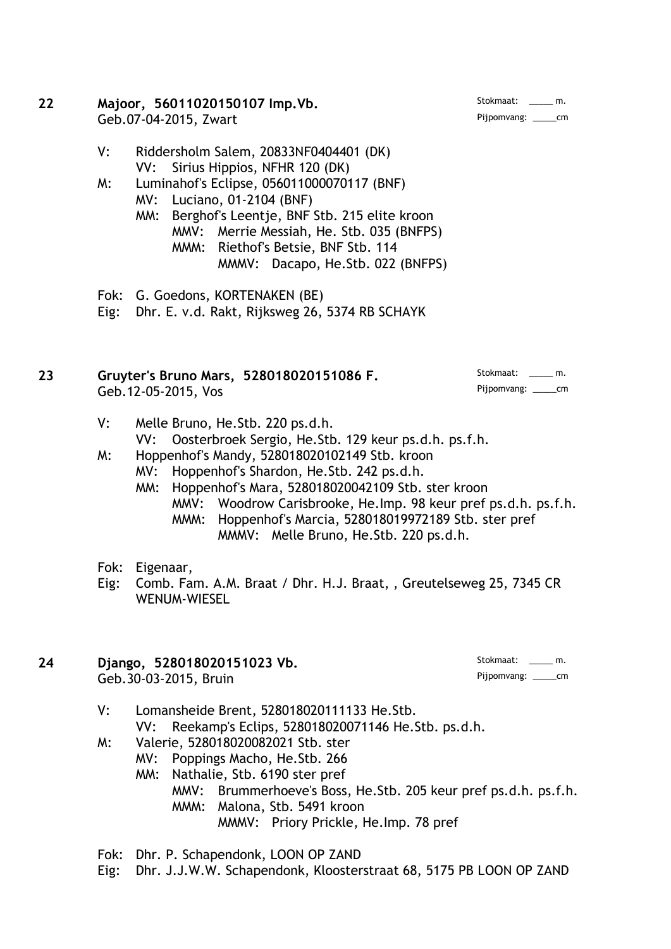#### **22 Majoor, 56011020150107 Imp.Vb.** Geb.07-04-2015, Zwart Pijpomvang: \_\_\_\_\_cm

- V: Riddersholm Salem, 20833NF0404401 (DK) VV: Sirius Hippios, NFHR 120 (DK)
- M: Luminahof's Eclipse, 056011000070117 (BNF)
	- MV: Luciano, 01-2104 (BNF)
	- MM: Berghof's Leentje, BNF Stb. 215 elite kroon MMV: Merrie Messiah, He. Stb. 035 (BNFPS) MMM: Riethof's Betsie, BNF Stb. 114 MMMV: Dacapo, He.Stb. 022 (BNFPS)

Fok: G. Goedons, KORTENAKEN (BE)

Eig: Dhr. E. v.d. Rakt, Rijksweg 26, 5374 RB SCHAYK

# **23 Gruyter's Bruno Mars, 528018020151086 F.** Stokmaat: \_\_\_\_\_ m. Geb.12-05-2015, Vos

- V: Melle Bruno, He.Stb. 220 ps.d.h. VV: Oosterbroek Sergio, He.Stb. 129 keur ps.d.h. ps.f.h.
- M: Hoppenhof's Mandy, 528018020102149 Stb. kroon MV: Hoppenhof's Shardon, He.Stb. 242 ps.d.h.
	- MM: Hoppenhof's Mara, 528018020042109 Stb. ster kroon MMV: Woodrow Carisbrooke, He.Imp. 98 keur pref ps.d.h. ps.f.h. MMM: Hoppenhof's Marcia, 528018019972189 Stb. ster pref
		- MMMV: Melle Bruno, He.Stb. 220 ps.d.h.
- Fok: Eigenaar,
- Eig: Comb. Fam. A.M. Braat / Dhr. H.J. Braat, , Greutelseweg 25, 7345 CR WENUM-WIESEL
- **24 Django, 528018020151023 Vb.** Stokmaat: \_\_\_\_ m. Stokmaat: \_\_\_\_ m. Stokmaat: \_\_\_\_ m. Stokmaat: \_\_\_\_ m. Geb.30-03-2015, Bruin

- V: Lomansheide Brent, 528018020111133 He.Stb. VV: Reekamp's Eclips, 528018020071146 He.Stb. ps.d.h.
- M: Valerie, 528018020082021 Stb. ster
	- MV: Poppings Macho, He.Stb. 266
	- MM: Nathalie, Stb. 6190 ster pref
		- MMV: Brummerhoeve's Boss, He.Stb. 205 keur pref ps.d.h. ps.f.h. MMM: Malona, Stb. 5491 kroon MMMV: Priory Prickle, He.Imp. 78 pref
- Fok: Dhr. P. Schapendonk, LOON OP ZAND
- Eig: Dhr. J.J.W.W. Schapendonk, Kloosterstraat 68, 5175 PB LOON OP ZAND

Stokmaat: \_\_\_\_\_ m.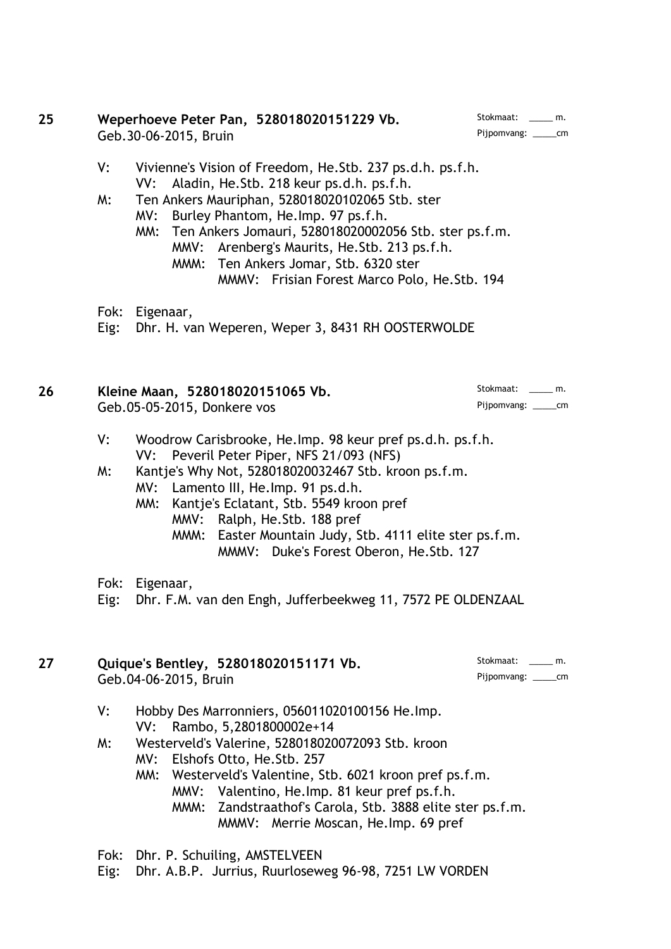#### **25 Weperhoeve Peter Pan, 528018020151229 Vb.** Stokmaat: \_\_\_\_ m.<br>Cob 30-06-2015 Bruin Geb.30-06-2015, Bruin

- V: Vivienne's Vision of Freedom, He.Stb. 237 ps.d.h. ps.f.h. VV: Aladin, He.Stb. 218 keur ps.d.h. ps.f.h.
- M: Ten Ankers Mauriphan, 528018020102065 Stb. ster
	- MV: Burley Phantom, He.Imp. 97 ps.f.h.
	- MM: Ten Ankers Jomauri, 528018020002056 Stb. ster ps.f.m. MMV: Arenberg's Maurits, He.Stb. 213 ps.f.h.
		- MMM: Ten Ankers Jomar, Stb. 6320 ster MMMV: Frisian Forest Marco Polo, He.Stb. 194
- Fok: Eigenaar,
- Eig: Dhr. H. van Weperen, Weper 3, 8431 RH OOSTERWOLDE

| 26 | Kleine Maan, 528018020151065 Vb. |                        |  |
|----|----------------------------------|------------------------|--|
|    | Geb.05-05-2015, Donkere vos      | Pijpomvang: _______ cm |  |

- V: Woodrow Carisbrooke, He.Imp. 98 keur pref ps.d.h. ps.f.h. VV: Peveril Peter Piper, NFS 21/093 (NFS)
- M: Kantje's Why Not, 528018020032467 Stb. kroon ps.f.m. MV: Lamento III, He.Imp. 91 ps.d.h.
	- MM: Kantje's Eclatant, Stb. 5549 kroon pref
		- MMV: Ralph, He.Stb. 188 pref
			- MMM: Easter Mountain Judy, Stb. 4111 elite ster ps.f.m. MMMV: Duke's Forest Oberon, He.Stb. 127
- Fok: Eigenaar,

Eig: Dhr. F.M. van den Engh, Jufferbeekweg 11, 7572 PE OLDENZAAL

# **27 Quique's Bentley, 528018020151171 Vb.** Stokmaat: \_\_\_\_ m.<br>Geb 04-06-2015 Bruin Geb.04-06-2015, Bruin

- V: Hobby Des Marronniers, 056011020100156 He.Imp. VV: Rambo, 5,2801800002e+14
- M: Westerveld's Valerine, 528018020072093 Stb. kroon
	- MV: Elshofs Otto, He.Stb. 257
	- MM: Westerveld's Valentine, Stb. 6021 kroon pref ps.f.m. MMV: Valentino, He.Imp. 81 keur pref ps.f.h.
		- MMM: Zandstraathof's Carola, Stb. 3888 elite ster ps.f.m. MMMV: Merrie Moscan, He.Imp. 69 pref
- Fok: Dhr. P. Schuiling, AMSTELVEEN
- Eig: Dhr. A.B.P. Jurrius, Ruurloseweg 96-98, 7251 LW VORDEN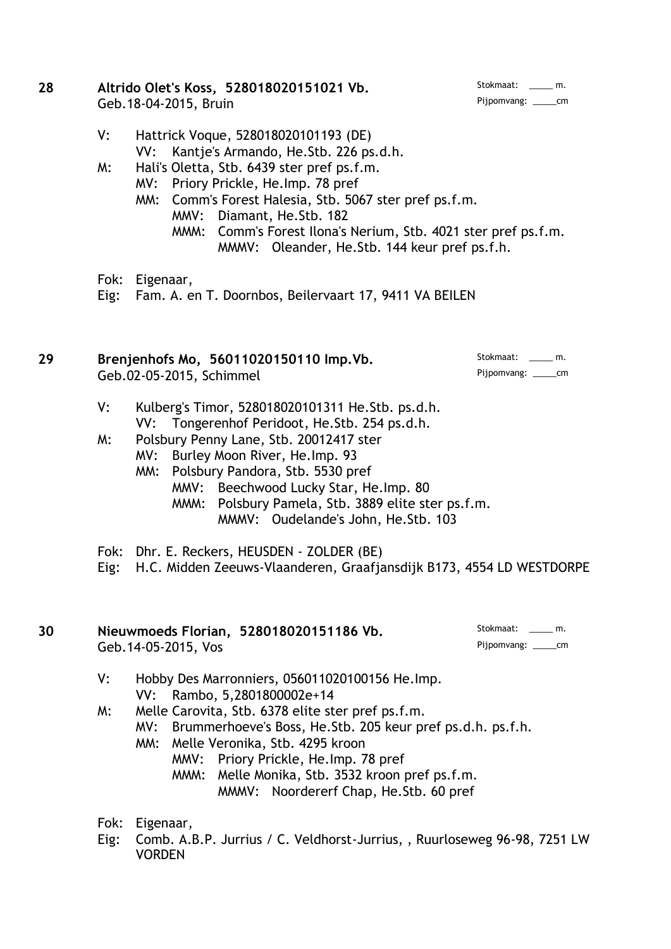- 28 **Altrido Olet's Koss, 528018020151021 Vb.** Stokmaat: \_\_\_\_ m. Geb.18-04-2015, Bruin Pijpomvang: \_\_\_\_\_cm
	- V: Hattrick Voque, 528018020101193 (DE) VV: Kantje's Armando, He.Stb. 226 ps.d.h.
	- M: Hali's Oletta, Stb. 6439 ster pref ps.f.m.
		- MV: Priory Prickle, He.Imp. 78 pref
		- MM: Comm's Forest Halesia, Stb. 5067 ster pref ps.f.m. MMV: Diamant, He.Stb. 182 MMM: Comm's Forest Ilona's Nerium, Stb. 4021 ster pref ps.f.m. MMMV: Oleander, He.Stb. 144 keur pref ps.f.h.
	- Fok: Eigenaar,
	- Eig: Fam. A. en T. Doornbos, Beilervaart 17, 9411 VA BEILEN

# 29 **Brenjenhofs Mo, 56011020150110 Imp. Vb.** Stokmaat: \_\_\_\_ m. Geb.02-05-2015, Schimmel Pijpomvang: \_\_\_\_\_cm

- V: Kulberg's Timor, 528018020101311 He.Stb. ps.d.h. VV: Tongerenhof Peridoot, He.Stb. 254 ps.d.h.
- M: Polsbury Penny Lane, Stb. 20012417 ster
	- MV: Burley Moon River, He.Imp. 93
	- MM: Polsbury Pandora, Stb. 5530 pref
		- MMV: Beechwood Lucky Star, He.Imp. 80
		- MMM: Polsbury Pamela, Stb. 3889 elite ster ps.f.m. MMMV: Oudelande's John, He.Stb. 103
- Fok: Dhr. E. Reckers, HEUSDEN ZOLDER (BE)
- Eig: H.C. Midden Zeeuws-Vlaanderen, Graafjansdijk B173, 4554 LD WESTDORPE

#### 30 **Nieuwmoeds Florian, 528018020151186 Vb.** Stokmaat: \_\_\_\_ m. Geb.14-05-2015, Vos Pijpomvang: \_\_\_\_\_cm

- V: Hobby Des Marronniers, 056011020100156 He.Imp. VV: Rambo, 5,2801800002e+14
- M: Melle Carovita, Stb. 6378 elite ster pref ps.f.m.
	- MV: Brummerhoeve's Boss, He.Stb. 205 keur pref ps.d.h. ps.f.h.
	- MM: Melle Veronika, Stb. 4295 kroon
		- MMV: Priory Prickle, He.Imp. 78 pref
		- MMM: Melle Monika, Stb. 3532 kroon pref ps.f.m. MMMV: Noordererf Chap, He.Stb. 60 pref
- Fok: Eigenaar,
- Eig: Comb. A.B.P. Jurrius / C. Veldhorst-Jurrius, , Ruurloseweg 96-98, 7251 LW **VORDEN**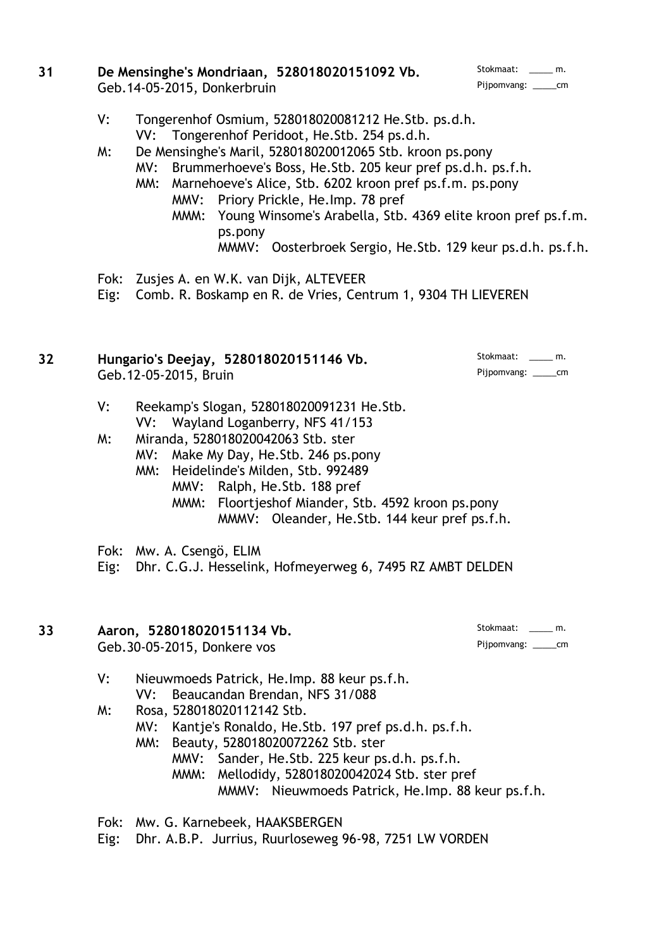| 31 | De Mensinghe's Mondriaan, 528018020151092 Vb. | Stokmaat: ______ m.     |
|----|-----------------------------------------------|-------------------------|
|    | Geb. 14-05-2015, Donkerbruin                  | Pijpomvang: ________ cm |

- Pijpomvang: \_\_\_\_\_cm
- V: Tongerenhof Osmium, 528018020081212 He.Stb. ps.d.h. VV: Tongerenhof Peridoot, He.Stb. 254 ps.d.h.
- M: De Mensinghe's Maril, 528018020012065 Stb. kroon ps.pony
	- MV: Brummerhoeve's Boss, He.Stb. 205 keur pref ps.d.h. ps.f.h.
	- MM: Marnehoeve's Alice, Stb. 6202 kroon pref ps.f.m. ps.pony MMV: Priory Prickle, He.Imp. 78 pref
		- MMM: Young Winsome's Arabella, Stb. 4369 elite kroon pref ps.f.m. ps.pony
			- MMMV: Oosterbroek Sergio, He.Stb. 129 keur ps.d.h. ps.f.h.
- Fok: Zusjes A. en W.K. van Dijk, ALTEVEER

Eig: Comb. R. Boskamp en R. de Vries, Centrum 1, 9304 TH LIEVEREN

### **32 Hungario's Deejay, 528018020151146 Vb.** Stokmaat: \_\_\_\_\_ m. Geb.12-05-2015, Bruin

- V: Reekamp's Slogan, 528018020091231 He.Stb. VV: Wayland Loganberry, NFS 41/153
- M: Miranda, 528018020042063 Stb. ster
	- MV: Make My Day, He.Stb. 246 ps.pony
	- MM: Heidelinde's Milden, Stb. 992489
		- MMV: Ralph, He.Stb. 188 pref
			- MMM: Floortjeshof Miander, Stb. 4592 kroon ps.pony MMMV: Oleander, He.Stb. 144 keur pref ps.f.h.
- Fok: Mw. A. Csengö, ELIM

Eig: Dhr. C.G.J. Hesselink, Hofmeyerweg 6, 7495 RZ AMBT DELDEN

#### 33 **Aaron, 528018020151134 Vb.** Stokmaat: \_\_\_\_ m. Geb.30-05-2015, Donkere vos Pijpomvang: \_\_\_\_\_cm

# V: Nieuwmoeds Patrick, He.Imp. 88 keur ps.f.h. VV: Beaucandan Brendan, NFS 31/088

- M: Rosa, 528018020112142 Stb.
	- MV: Kantje's Ronaldo, He.Stb. 197 pref ps.d.h. ps.f.h.
	- MM: Beauty, 528018020072262 Stb. ster
		- MMV: Sander, He.Stb. 225 keur ps.d.h. ps.f.h. MMM: Mellodidy, 528018020042024 Stb. ster pref
			- MMMV: Nieuwmoeds Patrick, He.Imp. 88 keur ps.f.h.
- Fok: Mw. G. Karnebeek, HAAKSBERGEN

Eig: Dhr. A.B.P. Jurrius, Ruurloseweg 96-98, 7251 LW VORDEN

- 
-